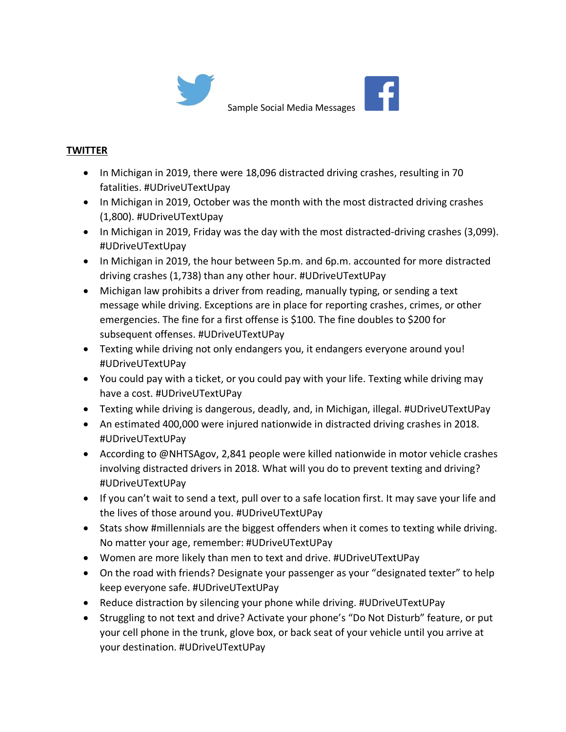

## **TWITTER**

- In Michigan in 2019, there were 18,096 distracted driving crashes, resulting in 70 fatalities. #UDriveUTextUpay
- In Michigan in 2019, October was the month with the most distracted driving crashes (1,800). #UDriveUTextUpay
- In Michigan in 2019, Friday was the day with the most distracted-driving crashes (3,099). #UDriveUTextUpay
- In Michigan in 2019, the hour between 5p.m. and 6p.m. accounted for more distracted driving crashes (1,738) than any other hour. #UDriveUTextUPay
- Michigan law prohibits a driver from reading, manually typing, or sending a text message while driving. Exceptions are in place for reporting crashes, crimes, or other emergencies. The fine for a first offense is \$100. The fine doubles to \$200 for subsequent offenses. #UDriveUTextUPay
- Texting while driving not only endangers you, it endangers everyone around you! #UDriveUTextUPay
- You could pay with a ticket, or you could pay with your life. Texting while driving may have a cost. #UDriveUTextUPay
- Texting while driving is dangerous, deadly, and, in Michigan, illegal. #UDriveUTextUPay
- An estimated 400,000 were injured nationwide in distracted driving crashes in 2018. #UDriveUTextUPay
- According to @NHTSAgov, 2,841 people were killed nationwide in motor vehicle crashes involving distracted drivers in 2018. What will you do to prevent texting and driving? #UDriveUTextUPay
- If you can't wait to send a text, pull over to a safe location first. It may save your life and the lives of those around you. #UDriveUTextUPay
- Stats show #millennials are the biggest offenders when it comes to texting while driving. No matter your age, remember: #UDriveUTextUPay
- Women are more likely than men to text and drive. #UDriveUTextUPay
- On the road with friends? Designate your passenger as your "designated texter" to help keep everyone safe. #UDriveUTextUPay
- Reduce distraction by silencing your phone while driving. #UDriveUTextUPay
- Struggling to not text and drive? Activate your phone's "Do Not Disturb" feature, or put your cell phone in the trunk, glove box, or back seat of your vehicle until you arrive at your destination. #UDriveUTextUPay